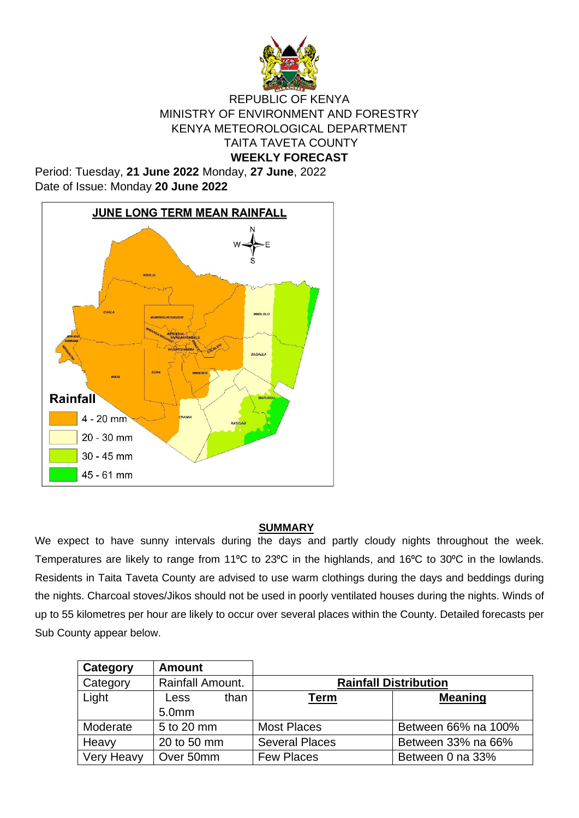

#### REPUBLIC OF KENYA MINISTRY OF ENVIRONMENT AND FORESTRY KENYA METEOROLOGICAL DEPARTMENT TAITA TAVETA COUNTY **WEEKLY FORECAST**

Period: Tuesday, **21 June 2022** Monday, **27 June**, 2022 Date of Issue: Monday **20 June 2022**



#### **SUMMARY**

We expect to have sunny intervals during the days and partly cloudy nights throughout the week. Temperatures are likely to range from 11°C to 23°C in the highlands, and 16°C to 30°C in the lowlands. Residents in Taita Taveta County are advised to use warm clothings during the days and beddings during the nights. Charcoal stoves/Jikos should not be used in poorly ventilated houses during the nights. Winds of up to 55 kilometres per hour are likely to occur over several places within the County. Detailed forecasts per Sub County appear below.

| Category   | <b>Amount</b>     |      |                              |                     |  |
|------------|-------------------|------|------------------------------|---------------------|--|
| Category   | Rainfall Amount.  |      | <b>Rainfall Distribution</b> |                     |  |
| Light      | Less              | than | <u>Term</u>                  | <b>Meaning</b>      |  |
|            | 5.0 <sub>mm</sub> |      |                              |                     |  |
| Moderate   | 5 to 20 mm        |      | <b>Most Places</b>           | Between 66% na 100% |  |
| Heavy      | 20 to 50 mm       |      | <b>Several Places</b>        | Between 33% na 66%  |  |
| Very Heavy | Over 50mm         |      | <b>Few Places</b>            | Between 0 na 33%    |  |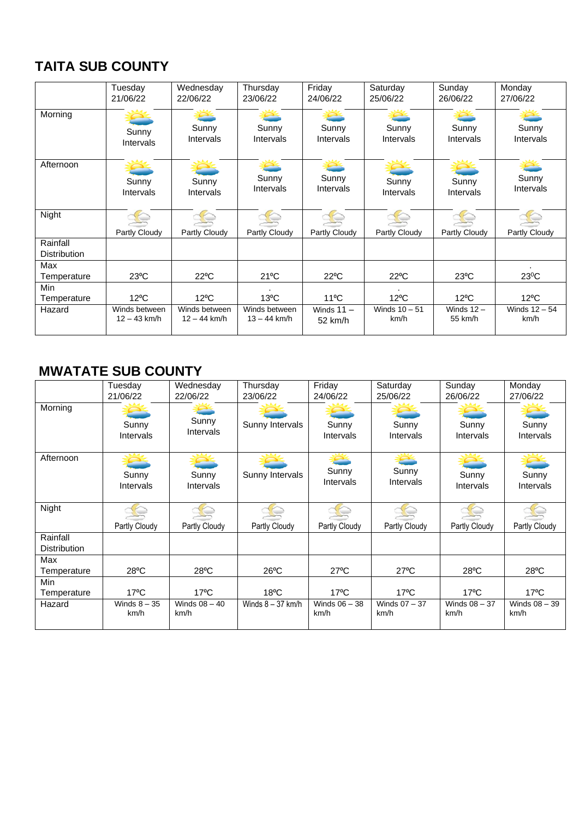# **TAITA SUB COUNTY**

|                                 | Tuesday        | Wednesday        | Thursday       | Friday         | Saturday        | Sunday           | Monday          |
|---------------------------------|----------------|------------------|----------------|----------------|-----------------|------------------|-----------------|
|                                 | 21/06/22       | 22/06/22         | 23/06/22       | 24/06/22       | 25/06/22        | 26/06/22         | 27/06/22        |
| Morning                         | Sunny          | Sunny            | Sunny          | Sunny          | Sunny           | Sunny            | Sunny           |
|                                 | Intervals      | <b>Intervals</b> | Intervals      | Intervals      | Intervals       | <b>Intervals</b> | Intervals       |
| Afternoon                       | Sunny          | Sunny            | Sunny          | Sunny          | Sunny           | Sunny            | Sunny           |
|                                 | Intervals      | <b>Intervals</b> | Intervals      | Intervals      | Intervals       | <b>Intervals</b> | Intervals       |
| Night                           | Partly Cloudy  | Partly Cloudy    | Partly Cloudy  | Partly Cloudy  | Partly Cloudy   | Partly Cloudy    | Partly Cloudy   |
| Rainfall<br><b>Distribution</b> |                |                  |                |                |                 |                  |                 |
| Max<br>Temperature              | $23^{\circ}$ C | $22^{\circ}$ C   | $21^{\circ}$ C | $22^{\circ}$ C | $22^{\circ}$ C  | $23^{\circ}$ C   | $23^0C$         |
| Min<br>Temperature              | $12^{\circ}$ C | $12^{\circ}$ C   | $13^{\circ}$ C | $11^{\circ}$ C | $12^{\circ}$ C  | $12^{\circ}$ C   | $12^{\circ}$ C  |
| Hazard                          | Winds between  | Winds between    | Winds between  | Winds $11 -$   | Winds $10 - 51$ | Winds $12 -$     | Winds $12 - 54$ |
|                                 | $12 - 43$ km/h | $12 - 44$ km/h   | $13 - 44$ km/h | 52 km/h        | km/h            | 55 km/h          | km/h            |

## **MWATATE SUB COUNTY**

|                     | Tuesday              | Wednesday               | Thursday            | Friday                  | Saturday              | Sunday                  | Monday                    |
|---------------------|----------------------|-------------------------|---------------------|-------------------------|-----------------------|-------------------------|---------------------------|
|                     | 21/06/22             | 22/06/22                | 23/06/22            | 24/06/22                | 25/06/22              | 26/06/22                | 27/06/22                  |
| Morning             | Sunny<br>Intervals   | Sunny<br>Intervals      | Sunny Intervals     | Sunny<br>Intervals      | Sunny<br>Intervals    | Sunny<br>Intervals      | Sunny<br><b>Intervals</b> |
| Afternoon           | Sunny<br>Intervals   | Sunny<br>Intervals      | Sunny Intervals     | Sunny<br>Intervals      | Sunny<br>Intervals    | Sunny<br>Intervals      | Sunny<br><b>Intervals</b> |
| Night               |                      |                         |                     |                         |                       |                         |                           |
|                     | Partly Cloudy        | Partly Cloudy           | Partly Cloudy       | Partly Cloudy           | Partly Cloudy         | Partly Cloudy           | Partly Cloudy             |
| Rainfall            |                      |                         |                     |                         |                       |                         |                           |
| <b>Distribution</b> |                      |                         |                     |                         |                       |                         |                           |
| Max                 |                      |                         |                     |                         |                       |                         |                           |
| Temperature         | $28^{\circ}$ C       | $28^{\circ}$ C          | $26^{\circ}$ C      | $27^{\circ}$ C          | $27^{\circ}$ C        | $28^{\circ}$ C          | $28^{\circ}$ C            |
| Min                 |                      |                         |                     |                         |                       |                         |                           |
| Temperature         | $17^{\circ}$ C       | $17^{\circ}$ C          | $18^{\circ}$ C      | $17^{\circ}$ C          | $17^{\circ}$ C        | $17^{\circ}$ C          | $17^{\circ}$ C            |
| Hazard              | Winds $8-35$<br>km/h | Winds $08 - 40$<br>km/h | Winds $8 - 37$ km/h | Winds $06 - 38$<br>km/h | Winds 07 - 37<br>km/h | Winds $08 - 37$<br>km/h | Winds 08 - 39<br>km/h     |